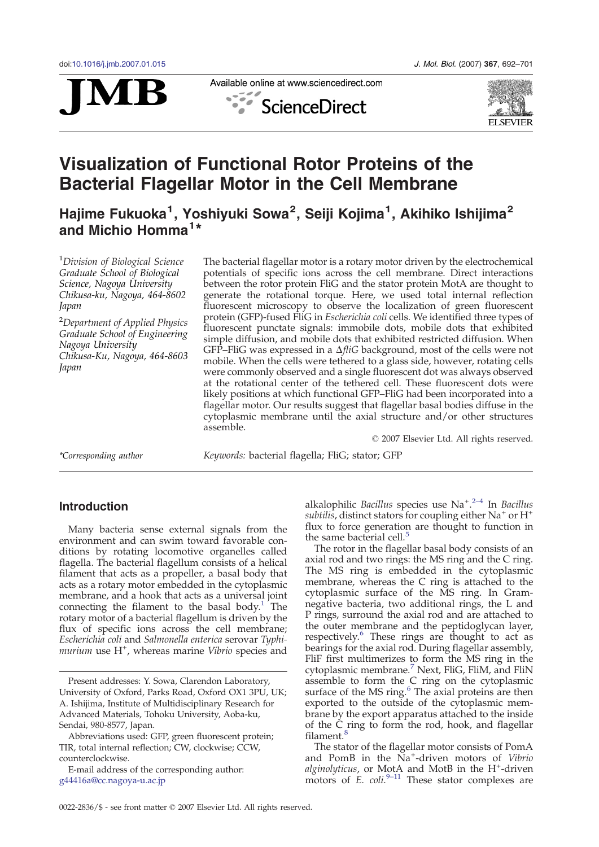

Available online at www.sciencedirect.com





# Visualization of Functional Rotor Proteins of the Bacterial Flagellar Motor in the Cell Membrane

Hajime Fukuoka<sup>1</sup>, Yoshiyuki Sowa<sup>2</sup>, Seiji Kojima<sup>1</sup>, Akihiko Ishijima<sup>2</sup> and Michio Homma<sup>1\*</sup>

<sup>1</sup>Division of Biological Science Graduate School of Biological Science, Nagoya University, Chikusa-ku, Nagoya, 464-8602, Japan

<sup>2</sup>Department of Applied Physics Graduate School of Engineering, Nagoya University, Chikusa-Ku, Nagoya, 464-8603, Japan

The bacterial flagellar motor is a rotary motor driven by the electrochemical potentials of specific ions across the cell membrane. Direct interactions between the rotor protein FliG and the stator protein MotA are thought to generate the rotational torque. Here, we used total internal reflection fluorescent microscopy to observe the localization of green fluorescent protein (GFP)-fused FliG in Escherichia coli cells. We identified three types of fluorescent punctate signals: immobile dots, mobile dots that exhibited simple diffusion, and mobile dots that exhibited restricted diffusion. When GFP–FliG was expressed in a  $\Delta fliG$  background, most of the cells were not mobile. When the cells were tethered to a glass side, however, rotating cells were commonly observed and a single fluorescent dot was always observed at the rotational center of the tethered cell. These fluorescent dots were likely positions at which functional GFP–FliG had been incorporated into a flagellar motor. Our results suggest that flagellar basal bodies diffuse in the cytoplasmic membrane until the axial structure and/or other structures assemble.

© 2007 Elsevier Ltd. All rights reserved.

\*Corresponding author Keywords: bacterial flagella; FliG; stator; GFP

## Introduction

Many bacteria sense external signals from the environment and can swim toward favorable conditions by rotating locomotive organelles called flagella. The bacterial flagellum consists of a helical filament that acts as a propeller, a basal body that acts as a rotary motor embedded in the cytoplasmic membrane, and a hook that acts as a universal joint connecting the filament to the basal body.<sup>[1](#page-8-0)</sup> The rotary motor of a bacterial flagellum is driven by the flux of specific ions across the cell membrane; Escherichia coli and Salmonella enterica serovar Typhimurium use  $H^+$ , whereas marine Vibrio species and

E-mail address of the corresponding author: [g44416a@cc.nagoya-u.ac.jp](mailto:g44416a@cc.nagoya-u.ac.jp)

flux to force generation are thought to function in the same bacterial cell.<sup>[5](#page-8-0)</sup> The rotor in the flagellar basal body consists of an axial rod and two rings: the MS ring and the C ring.

The MS ring is embedded in the cytoplasmic membrane, whereas the C ring is attached to the cytoplasmic surface of the MS ring. In Gramnegative bacteria, two additional rings, the L and P rings, surround the axial rod and are attached to the outer membrane and the peptidoglycan layer, respectively.[6](#page-8-0) These rings are thought to act as bearings for the axial rod. During flagellar assembly, FliF first multimerizes to form the MS ring in the cytoplasmic membrane.<sup>[7](#page-8-0)</sup> Next, FliG, FliM, and FliN assemble to form the C ring on the cytoplasmic surface of the MS ring[.](#page-8-0)<sup>[6](#page-8-0)</sup> The axial proteins are then exported to the outside of the cytoplasmic membrane by the export apparatus attached to the inside of the C ring to form the rod, hook, and flagellar filament.<sup>[8](#page-8-0)</sup>

alkalophilic Bacillus species use Na<sup>+[2](#page-8-0)-4</sup> In Bacillus subtilis, distinct stators for coupling either Na<sup>+</sup> or  $H^+$ 

The stator of the flagellar motor consists of PomA and PomB in the Na<sup>+</sup>-driven motors of Vibrio alginolyticus, or [MotA](#page-8-0) and MotB in the H<sup>+</sup>-driven motors of  $E.$  coli.<sup>9-11</sup> These stator complexes are

Present addresses: Y. Sowa, Clarendon Laboratory, University of Oxford, Parks Road, Oxford OX1 3PU, UK; A. Ishijima, Institute of Multidisciplinary Research for Advanced Materials, Tohoku University, Aoba-ku, Sendai, 980-8577, Japan.

Abbreviations used: GFP, green fluorescent protein; TIR, total internal reflection; CW, clockwise; CCW, counterclockwise.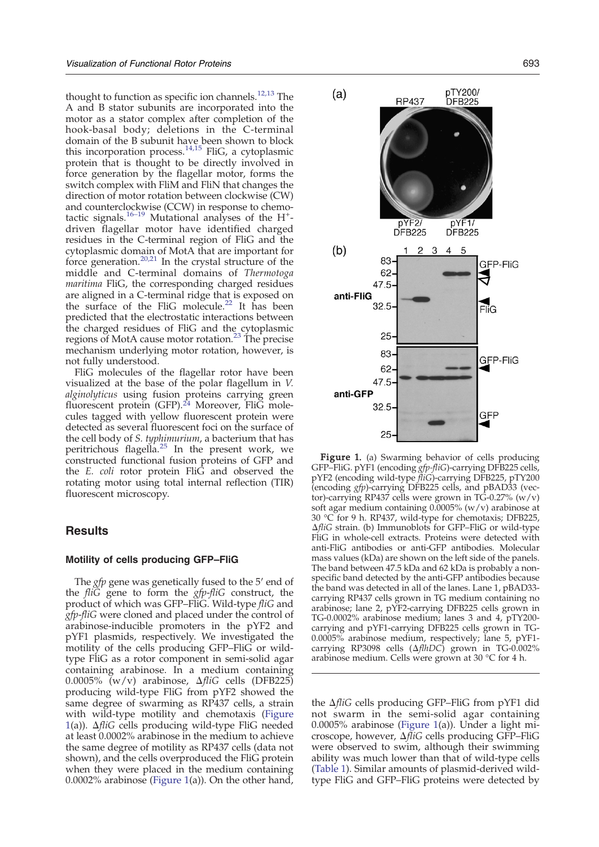<span id="page-1-0"></span>thought to function as specific ion channels.<sup>[12,13](#page-8-0)</sup> The A and B stator subunits are incorporated into the motor as a stator complex after completion of the hook-basal body; deletions in the C-terminal domain of the B subunit have been shown to block this incorporation process.<sup>[14,15](#page-8-0)</sup> FliG, a cytoplasmic protein that is thought to be directly involved in force generation by the flagellar motor, forms the switch complex with FliM and FliN that changes the direction of motor rotation between clockwise (CW) and countercl[ockw](#page-8-0)ise (CCW) in response to chemo-<br>tactic signals[.](#page-8-0)<sup>16–19</sup> Mutational analyses of the H<sup>+</sup>driven flagellar motor have identified charged residues in the C-terminal region of FliG and the cytoplasmic domain of MotA that are important for force generation[.](#page-8-0)<sup>[20,21](#page-8-0)</sup> In the crystal structure of the middle and C-terminal domains of Thermotoga maritima FliG, the corresponding charged residues are aligned in a C-terminal ridge that is exposed on the surface of the FliG molecule.<sup>[22](#page-8-0)</sup> It has been predicted that the electrostatic interactions between the charged residues of FliG and the cytoplasmic regions of MotA cause motor rotation.<sup>[23](#page-8-0)</sup> The precise mechanism underlying motor rotation, however, is not fully understood.

FliG molecules of the flagellar rotor have been visualized at the base of the polar flagellum in V. alginolyticus using fusion proteins carrying green fluorescent protein (GFP).<sup>[24](#page-8-0)</sup> Moreover, FliG molecules tagged with yellow fluorescent protein were detected as several fluorescent foci on the surface of the cell body of S. typhimurium, a bacterium that has peritrichous flagella.[25](#page-8-0) In the present work, we constructed functional fusion proteins of GFP and the E. coli rotor protein FliG and observed the rotating motor using total internal reflection (TIR) fluorescent microscopy.

### **Results**

#### Motility of cells producing GFP–FliG

The *gfp* gene was genetically fused to the 5' end of the fliG gene to form the gfp-fliG construct, the product of which was GFP–FliG. Wild-type fliG and gfp-fliG were cloned and placed under the control of arabinose-inducible promoters in the pYF2 and pYF1 plasmids, respectively. We investigated the motility of the cells producing GFP–FliG or wildtype FliG as a rotor component in semi-solid agar containing arabinose. In a medium containing 0.0005% (w/v) arabinose,  $\Delta filG$  cells (DFB225) producing wild-type FliG from pYF2 showed the same degree of swarming as RP437 cells, a strain with wild-type motility and chemotaxis (Figure 1(a)). ΔfliG cells producing wild-type FliG needed at least 0.0002% arabinose in the medium to achieve the same degree of motility as RP437 cells (data not shown), and the cells overproduced the FliG protein when they were placed in the medium containing 0.0002% arabinose (Figure 1(a)). On the other hand,



**Figure 1.** (a) Swarming behavior of cells producing<br>GFP–FliG. pYF1 (encoding *gfp-fliG*)-carrying DFB225 cells, pYF2 (encoding wild-type fliG)-carrying DFB225, pTY200 (encoding gfp)-carrying DFB225 cells, and pBAD33 (vector)-carrying RP437 cells were grown in TG-0.27% (w/v) soft agar medium containing  $0.0005\%$  (w/v) arabinose at 30 °C for 9 h. RP437, wild-type for chemotaxis; DFB225, ΔfliG strain. (b) Immunoblots for GFP–FliG or wild-type FliG in whole-cell extracts. Proteins were detected with anti-FliG antibodies or anti-GFP antibodies. Molecular mass values (kDa) are shown on the left side of the panels. The band between 47.5 kDa and 62 kDa is probably a nonspecific band detected by the anti-GFP antibodies because the band was detected in all of the lanes. Lane 1, pBAD33 carrying RP437 cells grown in TG medium containing no arabinose; lane 2, pYF2-carrying DFB225 cells grown in TG-0.0002% arabinose medium; lanes 3 and 4, pTY200 carrying and pYF1-carrying DFB225 cells grown in TG-0.0005% arabinose medium, respectively; lane 5, pYF1 carrying RP3098 cells (ΔflhDC) grown in TG-0.002% arabinose medium. Cells were grown at 30 °C for 4 h.

the ΔfliG cells producing GFP–FliG from pYF1 did not swarm in the semi-solid agar containing 0.0005% arabinose (Figure 1(a)). Under a light microscope, however, ΔfliG cells producing GFP–FliG were observed to swim, although their swimming ability was much lower than that of wild-type cells ([Table 1](#page-2-0)). Similar amounts of plasmid-derived wildtype FliG and GFP–FliG proteins were detected by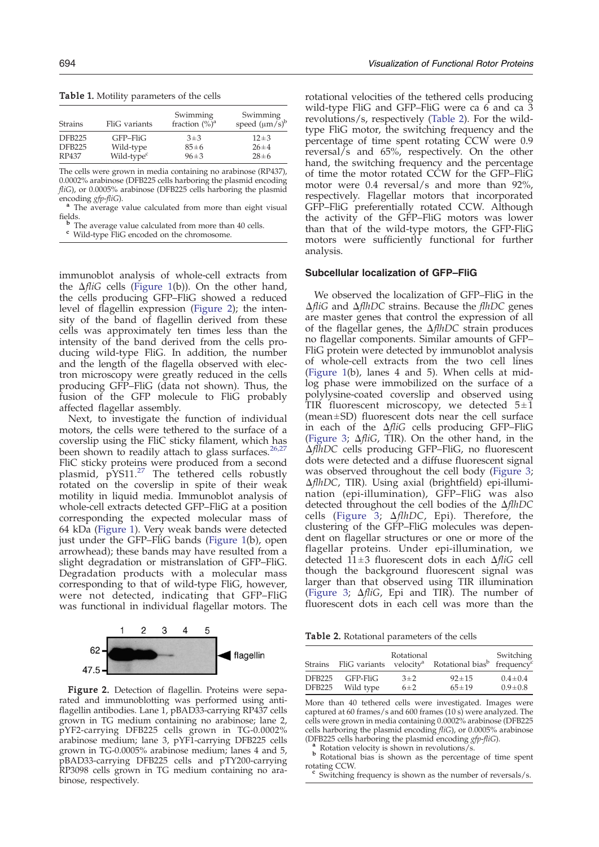<span id="page-2-0"></span>Table 1. Motility parameters of the cells

| Strains       | FliG variants          | Swimming<br>fraction $(\%)^a$ | Swimming<br>speed $(\mu m/s)^b$ |
|---------------|------------------------|-------------------------------|---------------------------------|
| <b>DFB225</b> | GFP-FliG               | $3\pm3$                       | $12\pm3$                        |
| <b>DFB225</b> | Wild-type              | $85 \pm 6$                    | $26 + 4$                        |
| RP437         | Wild-type <sup>c</sup> | $96 \pm 3$                    | $28 \pm 6$                      |

The cells were grown in media containing no arabinose (RP437), 0.0002% arabinose (DFB225 cells harboring the plasmid encoding fliG), or 0.0005% arabinose (DFB225 cells harboring the plasmid encoding *gfp-fliG*).

<sup>a</sup> The average value calculated from more than eight visual fields.

The average value calculated from more than 40 cells.

c Wild-type FliG encoded on the chromosome.

immunoblot analysis of whole-cell extracts from the  $\Delta fliG$  cells [\(Figure 1\(](#page-1-0)b)). On the other hand, the cells producing GFP–FliG showed a reduced level of flagellin expression (Figure 2); the intensity of the band of flagellin derived from these cells was approximately ten times less than the intensity of the band derived from the cells producing wild-type FliG. In addition, the number and the length of the flagella observed with electron microscopy were greatly reduced in the cells producing GFP–FliG (data not shown). Thus, the fusion of the GFP molecule to FliG probably affected flagellar assembly.

Next, to investigate the function of individual motors, the cells were tethered to the surface of a coverslip using the FliC sticky filament, which has been shown to readily attach to glass surfaces.  $26,27$ FliC sticky proteins were produced from a second plasmid, pYS11.<sup>[27](#page-8-0)</sup> The tethered cells robustly rotated on the coverslip in spite of their weak motility in liquid media. Immunoblot analysis of whole-cell extracts detected GFP–FliG at a position corresponding the expected molecular mass of 64 kDa [\(Figure 1\)](#page-1-0). Very weak bands were detected just under the GFP-FliG bands ([Figure 1](#page-1-0)(b), open arrowhead); these bands may have resulted from a slight degradation or mistranslation of GFP–FliG. Degradation products with a molecular mass corresponding to that of wild-type FliG, however, were not detected, indicating that GFP–FliG was functional in individual flagellar motors. The



Figure 2. Detection of flagellin. Proteins were separated and immunoblotting was performed using antiflagellin antibodies. Lane 1, pBAD33-carrying RP437 cells grown in TG medium containing no arabinose; lane 2, pYF2-carrying DFB225 cells grown in TG-0.0002% arabinose medium; lane 3, pYF1-carrying DFB225 cells grown in TG-0.0005% arabinose medium; lanes 4 and 5, pBAD33-carrying DFB225 cells and pTY200-carrying RP3098 cells grown in TG medium containing no arabinose, respectively.

rotational velocities of the tethered cells producing wild-type FliG and GFP–FliG were ca  $6$  and ca  $3$ revolutions/s, respectively (Table 2). For the wildtype FliG motor, the switching frequency and the percentage of time spent rotating CCW were 0.9 reversal/s and 65%, respectively. On the other hand, the switching frequency and the percentage of time the motor rotated CCW for the GFP–FliG motor were 0.4 reversal/s and more than 92%, respectively. Flagellar motors that incorporated GFP–FliG preferentially rotated CCW. Although the activity of the GFP–FliG motors was lower than that of the wild-type motors, the GFP-FliG motors were sufficiently functional for further analysis.

#### Subcellular localization of GFP–FliG

We observed the localization of GFP–FliG in the ΔfliG and ΔflhDC strains. Because the flhDC genes are master genes that control the expression of all of the flagellar genes, the  $\Delta f$ lhDC strain produces no flagellar components. Similar amounts of GFP– FliG protein were detected by immunoblot analysis of whole-cell extracts from the two cell lines ([Figure 1](#page-1-0)(b), lanes 4 and 5). When cells at midlog phase were immobilized on the surface of a polylysine-coated coverslip and observed using TIR fluorescent microscopy, we detected  $5 \pm 1$  $(mean \pm SD)$  fluorescent dots near the cell surface in each of the ΔfliG cells producing GFP–FliG ([Figure 3;](#page-3-0) ΔfliG, TIR). On the other hand, in the ΔflhDC cells producing GFP–FliG, no fluorescent dots were detected and a diffuse fluorescent signal was observed throughout the cell body [\(Figure 3;](#page-3-0) ΔflhDC, TIR). Using axial (brightfield) epi-illumination (epi-illumination), GFP–FliG was also detected throughout the cell bodies of the ΔflhDC cells ([Figure 3](#page-3-0);  $\Delta f$ lhDC, Epi). Therefore, the clustering of the GFP–FliG molecules was dependent on flagellar structures or one or more of the flagellar proteins. Under epi-illumination, we detected  $11 \pm 3$  fluorescent dots in each  $\Delta filG$  cell though the background fluorescent signal was larger than that observed using TIR illumination ([Figure 3](#page-3-0); ΔfliG, Epi and TIR). The number of fluorescent dots in each cell was more than the

Table 2. Rotational parameters of the cells

| <b>Strains</b> | FliG variants | Rotational<br>velocity <sup>a</sup> | Rotational bias <sup>b</sup> frequency <sup>c</sup> | Switching     |
|----------------|---------------|-------------------------------------|-----------------------------------------------------|---------------|
| <b>DFB225</b>  | GFP-FliG      | $3\pm2$                             | $92 + 15$                                           | $0.4 \pm 0.4$ |
| DFB225         | Wild type     | $6\pm2$                             | $65 + 19$                                           | $0.9 \pm 0.8$ |

More than 40 tethered cells were investigated. Images were captured at 60 frames/s and 600 frames (10 s) were analyzed. The cells were grown in media containing 0.0002% arabinose (DFB225 cells harboring the plasmid encoding fliG), or 0.0005% arabinose (DFB225 cells harboring the plasmid encoding gfp-fliG).

Rotation velocity is shown in revolutions/s.

**b** Rotational bias is shown as the percentage of time spent rotating CCW.

Switching frequency is shown as the number of reversals/s.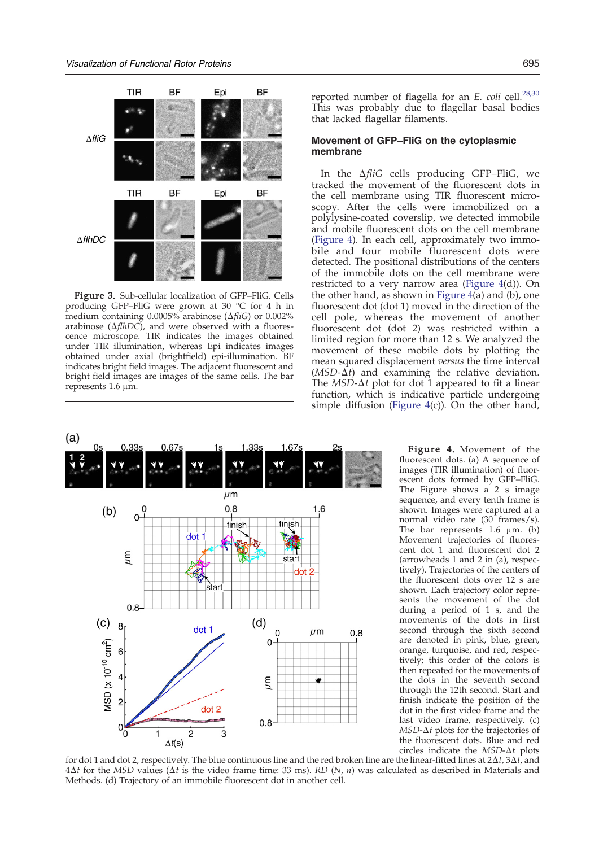<span id="page-3-0"></span>

Figure 3. Sub-cellular localization of GFP–FliG. Cells producing GFP–FliG were grown at 30 °C for 4 h in medium containing  $0.0005\%$  arabinose ( $\Delta \text{fli}$ G) or  $0.002\%$ arabinose  $(\Delta f h D C)$ , and were observed with a fluorescence microscope. TIR indicates the images obtained under TIR illumination, whereas Epi indicates images obtained under axial (brightfield) epi-illumination. BF indicates bright field images. The adjacent fluorescent and bright field images are images of the same cells. The bar represents 1.6 μm.

reported number of flagella for an  $E$ . coli cell.<sup>[28,30](#page-8-0)</sup> This was probably due to flagellar basal bodies that lacked flagellar filaments.

#### Movement of GFP–FliG on the cytoplasmic membrane

In the  $\Delta filG$  cells producing GFP–FliG, we tracked the movement of the fluorescent dots in the cell membrane using TIR fluorescent microscopy. After the cells were immobilized on a polylysine-coated coverslip, we detected immobile and mobile fluorescent dots on the cell membrane (Figure 4). In each cell, approximately two immobile and four mobile fluorescent dots were detected. The positional distributions of the centers of the immobile dots on the cell membrane were restricted to a very narrow area (Figure 4(d)). On the other hand, as shown in Figure 4(a) and (b), one fluorescent dot (dot 1) moved in the direction of the cell pole, whereas the movement of another fluorescent dot (dot 2) was restricted within a limited region for more than 12 s. We analyzed the movement of these mobile dots by plotting the mean squared displacement versus the time interval  $(MSD- $\Delta t$ )$  and examining the relative deviation. The  $MSD-\Delta t$  plot for dot 1 appeared to fit a linear function, which is indicative particle undergoing simple diffusion (Figure 4(c)). On the other hand,



Figure 4. Movement of the fluorescent dots. (a) A sequence of images (TIR illumination) of fluorescent dots formed by GFP–FliG. The Figure shows a 2 s image sequence, and every tenth frame is shown. Images were captured at a normal video rate (30 frames/s). The bar represents 1.6 μm. (b) Movement trajectories of fluorescent dot 1 and fluorescent dot 2 (arrowheads 1 and 2 in (a), respectively). Trajectories of the centers of the fluorescent dots over 12 s are shown. Each trajectory color represents the movement of the dot during a period of 1 s, and the movements of the dots in first second through the sixth second are denoted in pink, blue, green, orange, turquoise, and red, respectively; this order of the colors is then repeated for the movements of the dots in the seventh second through the 12th second. Start and finish indicate the position of the dot in the first video frame and the last video frame, respectively. (c)  $MSD- $\Delta t$  plots for the trajectories of$ the fluorescent dots. Blue and red circles indicate the  $MSD- $\Delta t$  plots$ 

for dot 1 and dot 2, respectively. The blue continuous line and the red broken line are the linear-fitted lines at  $2\Delta t$ ,  $3\Delta t$ , and  $4\Delta t$  for the MSD values ( $\Delta t$  is the video frame time: 33 ms). RD (N, n) was calculated as described in Materials and Methods. (d) Trajectory of an immobile fluorescent dot in another cell.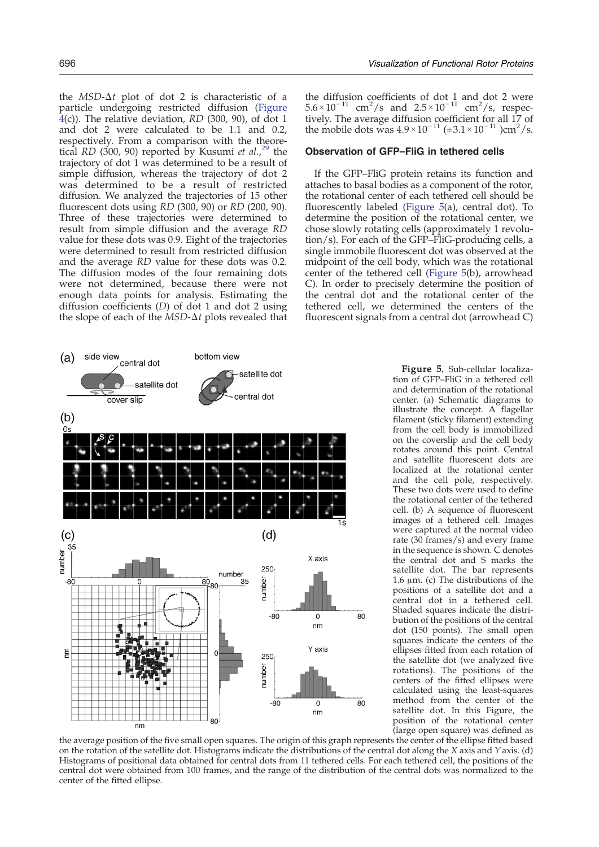<span id="page-4-0"></span>the MSD-Δt plot of dot 2 is characteristic of a particle undergoing restricted diffusion ([Figure](#page-3-0)  $4(c)$  $4(c)$ ). The relative deviation, RD (300, 90), of dot 1 and dot 2 were calculated to be 1.1 and 0.2, respectively. From a comparison with the theore-tical RD (300, 90) reported by Kusumi et al.,<sup>[29](#page-8-0)</sup> the trajectory of dot 1 was determined to be a result of simple diffusion, whereas the trajectory of dot 2 was determined to be a result of restricted diffusion. We analyzed the trajectories of 15 other fluorescent dots using RD (300, 90) or RD (200, 90). Three of these trajectories were determined to result from simple diffusion and the average RD value for these dots was 0.9. Eight of the trajectories were determined to result from restricted diffusion and the average RD value for these dots was 0.2. The diffusion modes of the four remaining dots were not determined, because there were not enough data points for analysis. Estimating the diffusion coefficients (D) of dot 1 and dot 2 using

the slope of each of the  $MSD-\Delta t$  plots revealed that



the diffusion coefficients of dot 1 and dot 2 were  $5.6 \times 10^{-11}$  cm<sup>2</sup>/s and  $2.5 \times 10^{-11}$  cm<sup>2</sup>/s, respectively. The average diffusion coefficient for all 17 of the mobile dots was  $4.9 \times 10^{-11}$  (±3.1 × 10<sup>-11</sup>)cm<sup>2</sup>/s.

#### Observation of GFP–FliG in tethered cells

If the GFP–FliG protein retains its function and attaches to basal bodies as a component of the rotor, the rotational center of each tethered cell should be fluorescently labeled (Figure 5(a), central dot). To determine the position of the rotational center, we chose slowly rotating cells (approximately 1 revolution/s). For each of the GFP-FliG-producing cells, a single immobile fluorescent dot was observed at the midpoint of the cell body, which was the rotational center of the tethered cell (Figure 5(b), arrowhead C). In order to precisely determine the position of the central dot and the rotational center of the tethered cell, we determined the centers of the fluorescent signals from a central dot (arrowhead C)

> **Figure 5.** Sub-cellular localization of GFP–FliG in a tethered cell and determination of the rotational center. (a) Schematic diagrams to illustrate the concept. A flagellar filament (sticky filament) extending from the cell body is immobilized on the coverslip and the cell body rotates around this point. Central and satellite fluorescent dots are localized at the rotational center and the cell pole, respectively. These two dots were used to define the rotational center of the tethered cell. (b) A sequence of fluorescent images of a tethered cell. Images were captured at the normal video rate (30 frames/s) and every frame in the sequence is shown. C denotes the central dot and S marks the satellite dot. The bar represents 1.6 μm. (c) The distributions of the positions of a satellite dot and a central dot in a tethered cell. Shaded squares indicate the distribution of the positions of the central dot (150 points). The small open squares indicate the centers of the ellipses fitted from each rotation of the satellite dot (we analyzed five rotations). The positions of the centers of the fitted ellipses were calculated using the least-squares method from the center of the satellite dot. In this Figure, the position of the rotational center (large open square) was defined as

the average position of the five small open squares. The origin of this graph represents the center of the ellipse fitted based on the rotation of the satellite dot. Histograms indicate the distributions of the central dot along the X axis and Yaxis. (d) Histograms of positional data obtained for central dots from 11 tethered cells. For each tethered cell, the positions of the central dot were obtained from 100 frames, and the range of the distribution of the central dots was normalized to the center of the fitted ellipse.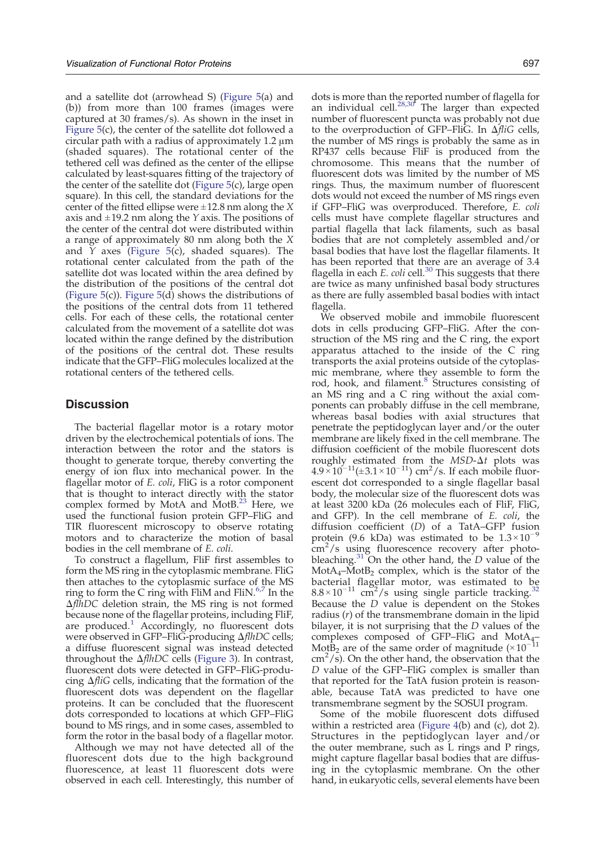and a satellite dot (arrowhead S) [\(Figure 5\(](#page-4-0)a) and (b)) from more than 100 frames (images were captured at 30 frames/s). As shown in the inset in [Figure 5](#page-4-0)(c), the center of the satellite dot followed a circular path with a radius of approximately 1.2 μm (shaded squares). The rotational center of the tethered cell was defined as the center of the ellipse calculated by least-squares fitting of the trajectory of the center of the satellite dot [\(Figure 5](#page-4-0)(c), large open square). In this cell, the standard deviations for the center of the fitted ellipse were  $\pm 12.8$  nm along the X axis and  $\pm$  19.2 nm along the Y axis. The positions of the center of the central dot were distributed within a range of approximately 80 nm along both the X and  $\tilde{Y}$  axes ([Figure 5](#page-4-0)(c), shaded squares). The rotational center calculated from the path of the satellite dot was located within the area defined by the distribution of the positions of the central dot [\(Figure 5\(](#page-4-0)c)). [Figure 5](#page-4-0)(d) shows the distributions of the positions of the central dots from 11 tethered cells. For each of these cells, the rotational center calculated from the movement of a satellite dot was located within the range defined by the distribution of the positions of the central dot. These results indicate that the GFP–FliG molecules localized at the rotational centers of the tethered cells.

## **Discussion**

The bacterial flagellar motor is a rotary motor driven by the electrochemical potentials of ions. The interaction between the rotor and the stators is thought to generate torque, thereby converting the energy of ion flux into mechanical power. In the flagellar motor of *E. coli*, FliG is a rotor component that is thought to interact directly with the stator complex formed by MotA and MotB.<sup>[23](#page-8-0)</sup> Here, we used the functional fusion protein GFP–FliG and TIR fluorescent microscopy to observe rotating motors and to characterize the motion of basal bodies in the cell membrane of E. coli.

To construct a flagellum, FliF first assembles to form the MS ring in the cytoplasmic membrane. FliG then attaches to the cytoplasmic surface of the MS ring to form the C ring with FliM and FliN. $6,7$  In the  $Δf\overline{I}hDC$  deletion strain, the MS ring is not formed because none of the flagellar proteins, including FliF, are produced[.](#page-8-0)<sup>[1](#page-8-0)</sup> Accordingly, no fluorescent dots were observed in GFP–FliG-producing ΔflhDC cells; a diffuse fluorescent signal was instead detected throughout the ΔflhDC cells [\(Figure 3](#page-3-0)). In contrast, fluorescent dots were detected in GFP–FliG-producing  $\Delta fliG$  cells, indicating that the formation of the fluorescent dots was dependent on the flagellar proteins. It can be concluded that the fluorescent dots corresponded to locations at which GFP–FliG bound to MS rings, and in some cases, assembled to form the rotor in the basal body of a flagellar motor.

Although we may not have detected all of the fluorescent dots due to the high background fluorescence, at least 11 fluorescent dots were observed in each cell. Interestingly, this number of dots is more than the reported number of flagella for an individual cell. $28,30$ <sup>t</sup> The larger than expected number of fluorescent puncta was probably not due to the overproduction of GFP–FliG. In  $\Delta filG$  cells, the number of MS rings is probably the same as in RP437 cells because FliF is produced from the chromosome. This means that the number of fluorescent dots was limited by the number of MS rings. Thus, the maximum number of fluorescent dots would not exceed the number of MS rings even if GFP–FliG was overproduced. Therefore, E. coli cells must have complete flagellar structures and partial flagella that lack filaments, such as basal bodies that are not completely assembled and/or basal bodies that have lost the flagellar filaments. It has been reported that there are an average of 3.4 flagella in each  $E$ . *coli* cell.<sup>[30](#page-9-0)</sup> This suggests that there are twice as many unfinished basal body structures as there are fully assembled basal bodies with intact flagella.

We observed mobile and immobile fluorescent dots in cells producing GFP–FliG. After the construction of the MS ring and the C ring, the export apparatus attached to the inside of the C ring transports the axial proteins outside of the cytoplasmic membrane, where they assemble to form the rod, hook, and filament[.](#page-8-0)<sup>[8](#page-8-0)</sup> Structures consisting of an MS ring and a C ring without the axial components can probably diffuse in the cell membrane, whereas basal bodies with axial structures that penetrate the peptidoglycan layer and/or the outer membrane are likely fixed in the cell membrane. The diffusion coefficient of the mobile fluorescent dots roughly estimated from the  $MSD-\Delta t$  plots was  $4.9 \times 10^{-11} (\pm 3.1 \times 10^{-11})$  cm<sup>2</sup>/s. If each mobile fluorescent dot corresponded to a single flagellar basal body, the molecular size of the fluorescent dots was at least 3200 kDa (26 molecules each of FliF, FliG, and GFP). In the cell membrane of E. coli, the diffusion coefficient (D) of a TatA–GFP fusion protein (9.6 kDa) was estimated to be  $1.3 \times 10^{-9}$ cm<sup>2</sup>/s using fluorescence recovery after photo-bleaching[.](#page-9-0)<sup>[31](#page-9-0)</sup> On the other hand, the  $D$  value of the  $MotA<sub>4</sub>–MotB<sub>2</sub> complex, which is the stator of the$ bacterial flagellar motor, was estimated to be<br>8.8×10<sup>−11</sup> cm<sup>2</sup>/s using single particle tracking.<sup>[32](#page-9-0)</sup> Because the D value is dependent on the Stokes radius (r) of the transmembrane domain in the lipid bilayer, it is not surprising that the D values of the complexes composed of GFP–FliG and MotA<sub>4</sub>– Mot $\overline{B}_2$  are of the same order of magnitude (×10<sup>-11</sup>)  $\text{cm}^2/\text{s}$ ). On the other hand, the observation that the D value of the GFP–FliG complex is smaller than that reported for the TatA fusion protein is reasonable, because TatA was predicted to have one transmembrane segment by the SOSUI program.

Some of the mobile fluorescent dots diffused within a restricted area [\(Figure 4\(](#page-3-0)b) and (c), dot 2). Structures in the peptidoglycan layer and/or the outer membrane, such as L rings and P rings, might capture flagellar basal bodies that are diffusing in the cytoplasmic membrane. On the other hand, in eukaryotic cells, several elements have been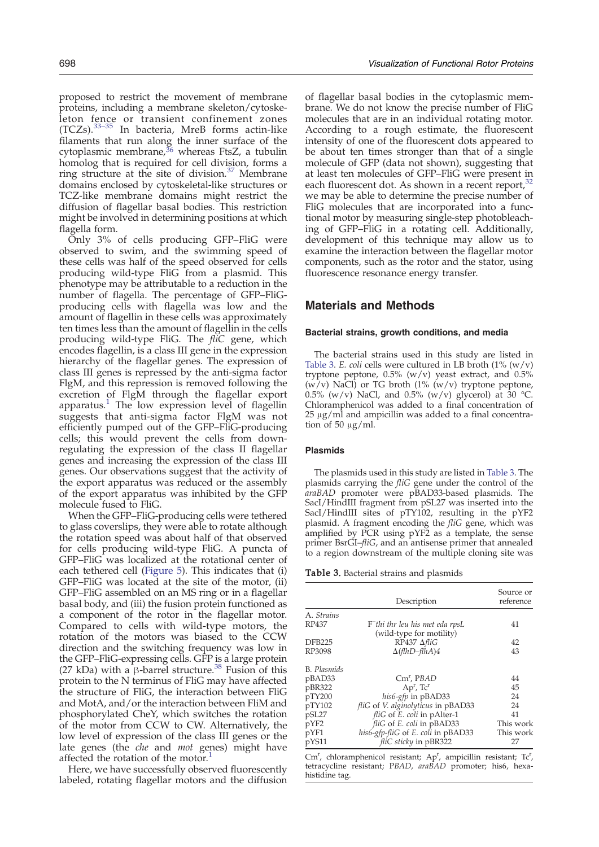proposed to restrict the movement of membrane proteins, including a membrane skeleton/cytoskeleton [fence](#page-9-0) or transient confinement zones (TCZs).33–<sup>35</sup> In bacteria, MreB forms actin-like filaments that run along the inner surface of the cytoplasmic membrane,<sup>[36](#page-9-0)</sup> whereas FtsZ, a tubulin homolog that is required for cell division, forms a ring structure at the site of division.[37](#page-9-0) Membrane domains enclosed by cytoskeletal-like structures or TCZ-like membrane domains might restrict the diffusion of flagellar basal bodies. This restriction might be involved in determining positions at which flagella form.

Only 3% of cells producing GFP–FliG were observed to swim, and the swimming speed of these cells was half of the speed observed for cells producing wild-type FliG from a plasmid. This phenotype may be attributable to a reduction in the number of flagella. The percentage of GFP–FliGproducing cells with flagella was low and the amount of flagellin in these cells was approximately ten times less than the amount of flagellin in the cells producing wild-type FliG. The *fliC* gene, which encodes flagellin, is a class III gene in the expression hierarchy of the flagellar genes. The expression of class III genes is repressed by the anti-sigma factor FlgM, and this repression is removed following the excretion of FlgM through the flagellar export apparatus[.](#page-8-0) $\frac{1}{1}$  $\frac{1}{1}$  $\frac{1}{1}$  The low expression level of flagellin suggests that anti-sigma factor FlgM was not efficiently pumped out of the GFP–FliG-producing cells; this would prevent the cells from downregulating the expression of the class II flagellar genes and increasing the expression of the class III genes. Our observations suggest that the activity of the export apparatus was reduced or the assembly of the export apparatus was inhibited by the GFP molecule fused to FliG.

When the GFP–FliG-producing cells were tethered to glass coverslips, they were able to rotate although the rotation speed was about half of that observed for cells producing wild-type FliG. A puncta of GFP–FliG was localized at the rotational center of each tethered cell ([Figure 5\)](#page-4-0). This indicates that (i) GFP–FliG was located at the site of the motor, (ii) GFP–FliG assembled on an MS ring or in a flagellar basal body, and (iii) the fusion protein functioned as a component of the rotor in the flagellar motor. Compared to cells with wild-type motors, the rotation of the motors was biased to the CCW direction and the switching frequency was low in the GFP–FliG-expressing cells. GFP is a large protein (27 kDa) with a  $\beta$ -barrel structure.<sup>[38](#page-9-0)</sup> Fusion of this protein to the N terminus of FliG may have affected the structure of FliG, the interaction between FliG and MotA, and/or the interaction between FliM and phosphorylated CheY, which switches the rotation of the motor from CCW to CW. Alternatively, the low level of expression of the class III genes or the late genes (the che and mot genes) might have affected the rotation of the motor. $<sup>1</sup>$  $<sup>1</sup>$  $<sup>1</sup>$ </sup>

Here, we have successfully observed fluorescently labeled, rotating flagellar motors and the diffusion

of flagellar basal bodies in the cytoplasmic membrane. We do not know the precise number of FliG molecules that are in an individual rotating motor. According to a rough estimate, the fluorescent intensity of one of the fluorescent dots appeared to be about ten times stronger than that of a single molecule of GFP (data not shown), suggesting that at least ten molecules of GFP–FliG were present in each fluorescent dot. As shown in a recent report,<sup>[32](#page-9-0)</sup> we may be able to determine the precise number of FliG molecules that are incorporated into a functional motor by measuring single-step photobleaching of GFP–FliG in a rotating cell. Additionally, development of this technique may allow us to examine the interaction between the flagellar motor components, such as the rotor and the stator, using fluorescence resonance energy transfer.

## Materials and Methods

#### Bacterial strains, growth conditions, and media

The bacterial strains used in this study are listed in Table 3. E. coli cells were cultured in LB broth  $(1\% (w/v))$ tryptone peptone,  $0.5\%$  (w/v) yeast extract, and  $0.5\%$  $(w/v)$  NaCl) or TG broth (1%  $(w/v)$  tryptone peptone, 0.5% (w/v) NaCl, and 0.5% (w/v) glycerol) at  $30 °C$ . Chloramphenicol was added to a final concentration of  $25 \mu g/ml$  and ampicillin was added to a final concentration of 50  $\mu$ g/ml.

#### Plasmids

The plasmids used in this study are listed in Table 3. The plasmids carrying the fliG gene under the control of the araBAD promoter were pBAD33-based plasmids. The SacI/HindIII fragment from pSL27 was inserted into the SacI/HindIII sites of pTY102, resulting in the pYF2 plasmid. A fragment encoding the fliG gene, which was amplified by PCR using pYF2 as a template, the sense primer BsrGI–fliG, and an antisense primer that annealed to a region downstream of the multiple cloning site was

Table 3. Bacterial strains and plasmids

|                    | Description                        | Source or<br>reference |
|--------------------|------------------------------------|------------------------|
| A. Strains         |                                    |                        |
| RP437              | F thi thr leu his met eda rpsL     | 41                     |
|                    | (wild-type for motility)           |                        |
| <b>DFB225</b>      | RP437 ∆fliG                        | 42                     |
| RP3098             | $\Delta$ (flhD-flhA)4              | 43                     |
| <b>B.</b> Plasmids |                                    |                        |
| pBAD33             | $Cmr$ , PBAD                       | 44                     |
| pBR322             | $Ap^{r}$ , $Tc^{r}$                | 45                     |
| pTY200             | $his6-$ gfp in pBAD33              | 24                     |
| pTY102             | fliG of V. alginolyticus in pBAD33 | 24                     |
| pSL27              | fliG of E. coli in pAlter-1        | 41                     |
| pYF <sub>2</sub>   | fliG of E. coli in pBAD33          | This work              |
| pYF1               | his6-gfp-fliG of E. coli in pBAD33 | This work              |
| pYS11              | fliC sticky in pBR322              | 27                     |

Cm<sup>r</sup>, chloramphenicol resistant; Ap<sup>r</sup>, ampicillin resistant; Tc<sup>r</sup>, tetracycline resistant; PBAD, araBAD promoter; his6, hexahistidine tag.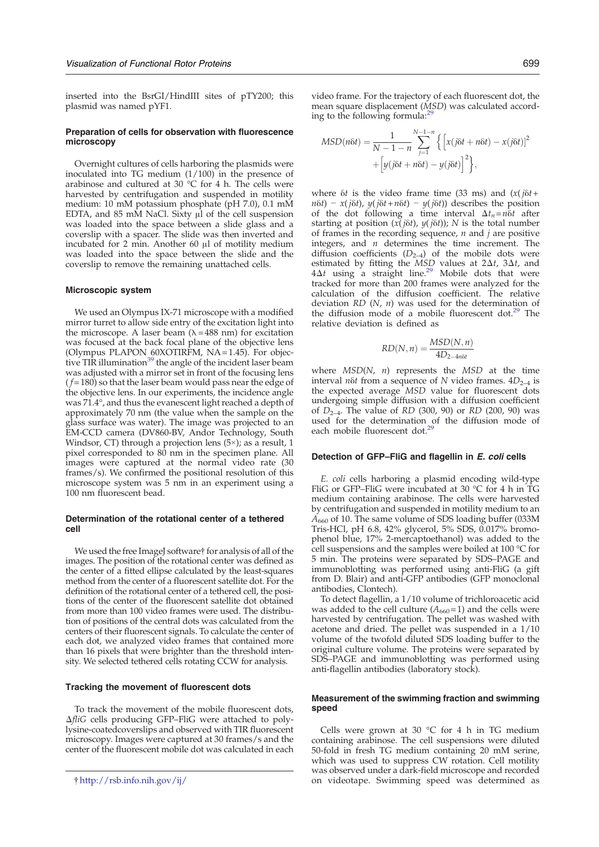inserted into the BsrGI/HindIII sites of pTY200; this plasmid was named pYF1.

#### Preparation of cells for observation with fluorescence microscopy

Overnight cultures of cells harboring the plasmids were inoculated into TG medium (1/100) in the presence of arabinose and cultured at 30 °C for 4 h. The cells were harvested by centrifugation and suspended in motility medium: 10 mM potassium phosphate (pH 7.0), 0.1 mM EDTA, and 85 mM NaCl. Sixty μl of the cell suspension was loaded into the space between a slide glass and a coverslip with a spacer. The slide was then inverted and incubated for 2 min. Another 60 μl of motility medium was loaded into the space between the slide and the coverslip to remove the remaining unattached cells.

#### Microscopic system

We used an Olympus IX-71 microscope with a modified mirror turret to allow side entry of the excitation light into the microscope. A laser beam  $(\lambda = 488 \text{ nm})$  for excitation was focused at the back focal plane of the objective lens (Olympus PLAPON  $60XOTIRFM$ , NA = 1.45). For objec-tive TIR illumination<sup>[39](#page-9-0)</sup> the angle of the incident laser beam was adjusted with a mirror set in front of the focusing lens  $(f=180)$  so that the laser beam would pass near the edge of the objective lens. In our experiments, the incidence angle was 71.4°, and thus the evanescent light reached a depth of approximately 70 nm (the value when the sample on the glass surface was water). The image was projected to an EM-CCD camera (DV860-BV, Andor Technology, South Windsor, CT) through a projection lens  $(5\times)$ ; as a result, 1 pixel corresponded to 80 nm in the specimen plane. All images were captured at the normal video rate (30 frames/s). We confirmed the positional resolution of this microscope system was 5 nm in an experiment using a 100 nm fluorescent bead.

#### Determination of the rotational center of a tethered cell

We used the free ImageJ software† for analysis of all of the images. The position of the rotational center was defined as the center of a fitted ellipse calculated by the least-squares method from the center of a fluorescent satellite dot. For the definition of the rotational center of a tethered cell, the positions of the center of the fluorescent satellite dot obtained from more than 100 video frames were used. The distribution of positions of the central dots was calculated from the centers of their fluorescent signals. To calculate the center of each dot, we analyzed video frames that contained more than 16 pixels that were brighter than the threshold intensity. We selected tethered cells rotating CCW for analysis.

#### Tracking the movement of fluorescent dots

To track the movement of the mobile fluorescent dots, ΔfliG cells producing GFP–FliG were attached to polylysine-coatedcoverslips and observed with TIR fluorescent microscopy. Images were captured at 30 frames/s and the center of the fluorescent mobile dot was calculated in each video frame. For the trajectory of each fluorescent dot, the mean square displacement (MSD) was calculated according to the following formula:[29](#page-8-0)

$$
MSD(n\delta t) = \frac{1}{N - 1 - n} \sum_{j=1}^{N-1-n} \left\{ \left[ x(j\delta t + n\delta t) - x(j\delta t) \right]^2 + \left[ y(j\delta t + n\delta t) - y(j\delta t) \right]^2 \right\},
$$

where  $\delta t$  is the video frame time (33 ms) and  $(x(i\delta t +$  $n\delta t$ ) –  $x(j\delta t)$ ,  $y(j\delta t+n\delta t)$  –  $y(j\delta t)$ ) describes the position of the dot following a time interval  $\Delta t_n = n\delta t$  after starting at position  $(x(j\delta t), y(j\delta t))$ ; N is the total number of frames in the recording sequence,  $n$  and  $j$  are positive integers, and  $n$  determines the time increment. The diffusion coefficients  $(D_{2-4})$  of the mobile dots were estimated by fitting the MSD values at  $2\Delta t$ ,  $3\Delta t$ , and  $4\Delta t$  using a straight line.<sup>[29](#page-8-0)</sup> Mobile dots that were tracked for more than 200 frames were analyzed for the calculation of the diffusion coefficient. The relative deviation  $RD$  (N, n) was used for the determination of the diffusion mode of a mobile fluorescent dot.<sup>[29](#page-8-0)</sup> The relative deviation is defined as

$$
RD(N, n) = \frac{MSD(N, n)}{4D_{2-4n\delta t}}
$$

where  $MSD(N, n)$  represents the  $MSD$  at the time interval n $\delta t$  from a sequence of N video frames.  $4D_{2-4}$  is the expected average MSD value for fluorescent dots undergoing simple diffusion with a diffusion coefficient of  $D_{2-4}$ . The value of RD (300, 90) or RD (200, 90) was used for the determination of the diffusion mode of each mobile fluorescent dot.<sup>[29](#page-8-0)</sup>

#### Detection of GFP–FliG and flagellin in E. coli cells

E. coli cells harboring a plasmid encoding wild-type FliG or GFP–FliG were incubated at 30 °C for 4 h in TG medium containing arabinose. The cells were harvested by centrifugation and suspended in motility medium to an  $A_{660}$  of 10. The same volume of SDS loading buffer (033M Tris-HCl, pH 6.8, 42% glycerol, 5% SDS, 0.017% bromophenol blue, 17% 2-mercaptoethanol) was added to the cell suspensions and the samples were boiled at 100 °C for 5 min. The proteins were separated by SDS–PAGE and immunoblotting was performed using anti-FliG (a gift from D. Blair) and anti-GFP antibodies (GFP monoclonal antibodies, Clontech).

To detect flagellin, a 1/10 volume of trichloroacetic acid was added to the cell culture  $(A_{660}=1)$  and the cells were harvested by centrifugation. The pellet was washed with acetone and dried. The pellet was suspended in a 1/10 volume of the twofold diluted SDS loading buffer to the original culture volume. The proteins were separated by SDS–PAGE and immunoblotting was performed using anti-flagellin antibodies (laboratory stock).

#### Measurement of the swimming fraction and swimming speed

Cells were grown at 30 °C for 4 h in TG medium containing arabinose. The cell suspensions were diluted 50-fold in fresh TG medium containing 20 mM serine, which was used to suppress CW rotation. Cell motility was observed under a dark-field microscope and recorded † <http://rsb.info.nih.gov/ij/> on videotape. Swimming speed was determined as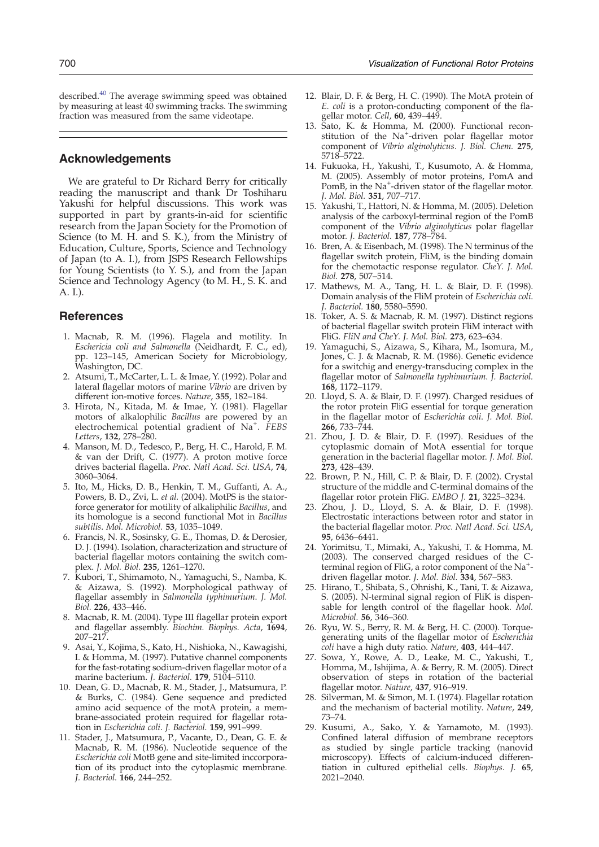<span id="page-8-0"></span>described.<sup>[40](#page-9-0)</sup> The average swimming speed was obtained by measuring at least  $40$  swimming tracks. The swimming fraction was measured from the same videotape.

## Acknowledgements

We are grateful to Dr Richard Berry for critically reading the manuscript and thank Dr Toshiharu Yakushi for helpful discussions. This work was supported in part by grants-in-aid for scientific research from the Japan Society for the Promotion of Science (to M. H. and S. K.), from the Ministry of Education, Culture, Sports, Science and Technology of Japan (to A. I.), from JSPS Research Fellowships for Young Scientists (to Y. S.), and from the Japan Science and Technology Agency (to M. H., S. K. and A. I.).

## **References**

- 1. Macnab, R. M. (1996). Flagela and motility. In Eschericia coli and Salmonella (Neidhardt, F. C., ed), pp. 123–145, American Society for Microbiology, Washington, DC.
- 2. Atsumi, T., McCarter, L. L. & Imae, Y. (1992). Polar and lateral flagellar motors of marine Vibrio are driven by different ion-motive forces. Nature, 355, 182–184.
- 3. Hirota, N., Kitada, M. & Imae, Y. (1981). Flagellar motors of alkalophilic Bacillus are powered by an electrochemical potential gradient of Na<sup>+</sup>. FEBS Letters, 132, 278–280.
- 4. Manson, M. D., Tedesco, P., Berg, H. C., Harold, F. M. & van der Drift, C. (1977). A proton motive force drives bacterial flagella. Proc. Natl Acad. Sci. USA, 74, 3060–3064.
- 5. Ito, M., Hicks, D. B., Henkin, T. M., Guffanti, A. A., Powers, B. D., Zvi, L. et al. (2004). MotPS is the statorforce generator for motility of alkaliphilic Bacillus, and its homologue is a second functional Mot in Bacillus subtilis. Mol. Microbiol. 53, 1035–1049.
- 6. Francis, N. R., Sosinsky, G. E., Thomas, D. & Derosier, D. J. (1994). Isolation, characterization and structure of bacterial flagellar motors containing the switch complex. J. Mol. Biol. 235, 1261–1270.
- 7. Kubori, T., Shimamoto, N., Yamaguchi, S., Namba, K. & Aizawa, S. (1992). Morphological pathway of flagellar assembly in Salmonella typhimurium. J. Mol. Biol. 226, 433–446.
- 8. Macnab, R. M. (2004). Type III flagellar protein export and flagellar assembly. Biochim. Biophys. Acta, 1694, 207–217.
- 9. Asai, Y., Kojima, S., Kato, H., Nishioka, N., Kawagishi, I. & Homma, M. (1997). Putative channel components for the fast-rotating sodium-driven flagellar motor of a marine bacterium. J. Bacteriol. 179, 5104–5110.
- 10. Dean, G. D., Macnab, R. M., Stader, J., Matsumura, P. & Burks, C. (1984). Gene sequence and predicted amino acid sequence of the motA protein, a membrane-associated protein required for flagellar rotation in Escherichia coli. J. Bacteriol. 159, 991–999.
- 11. Stader, J., Matsumura, P., Vacante, D., Dean, G. E. & Macnab, R. M. (1986). Nucleotide sequence of the Escherichia coli MotB gene and site-limited inccorporation of its product into the cytoplasmic membrane. J. Bacteriol. 166, 244–252.
- 12. Blair, D. F. & Berg, H. C. (1990). The MotA protein of E. coli is a proton-conducting component of the flagellar motor. Cell, 60, 439–449
- 13. Sato, K. & Homma, M. (2000). Functional reconstitution of the Na<sup>+</sup>-driven polar flagellar motor component of Vibrio alginolyticus. J. Biol. Chem. 275, 5718–5722.
- 14. Fukuoka, H., Yakushi, T., Kusumoto, A. & Homma, M. (2005). Assembly of motor proteins, PomA and PomB, in the Na<sup>+</sup>-driven stator of the flagellar motor. J. Mol. Biol. 351, 707–717.
- 15. Yakushi, T., Hattori, N. & Homma, M. (2005). Deletion analysis of the carboxyl-terminal region of the PomB component of the Vibrio alginolyticus polar flagellar motor. J. Bacteriol. 187, 778–784.
- 16. Bren, A. & Eisenbach, M. (1998). The N terminus of the flagellar switch protein, FliM, is the binding domain for the chemotactic response regulator. CheY. J. Mol. Biol. 278, 507–514.
- 17. Mathews, M. A., Tang, H. L. & Blair, D. F. (1998). Domain analysis of the FliM protein of Escherichia coli. J. Bacteriol. 180, 5580–5590.
- 18. Toker, A. S. & Macnab, R. M. (1997). Distinct regions of bacterial flagellar switch protein FliM interact with FliG. FliN and CheY. J. Mol. Biol. 273, 623–634.
- 19. Yamaguchi, S., Aizawa, S., Kihara, M., Isomura, M., Jones, C. J. & Macnab, R. M. (1986). Genetic evidence for a switchig and energy-transducing complex in the flagellar motor of Salmonella typhimurium. J. Bacteriol. 168, 1172–1179.
- 20. Lloyd, S. A. & Blair, D. F. (1997). Charged residues of the rotor protein FliG essential for torque generation in the flagellar motor of Escherichia coli. J. Mol. Biol. 266, 733–744.
- 21. Zhou, J. D. & Blair, D. F. (1997). Residues of the cytoplasmic domain of MotA essential for torque generation in the bacterial flagellar motor. J. Mol. Biol. 273, 428–439.
- 22. Brown, P. N., Hill, C. P. & Blair, D. F. (2002). Crystal structure of the middle and C-terminal domains of the flagellar rotor protein FliG. EMBO J. 21, 3225–3234.
- 23. Zhou, J. D., Lloyd, S. A. & Blair, D. F. (1998). Electrostatic interactions between rotor and stator in the bacterial flagellar motor. Proc. Natl Acad. Sci. USA, 95, 6436–6441.
- 24. Yorimitsu, T., Mimaki, A., Yakushi, T. & Homma, M. (2003). The conserved charged residues of the Cterminal region of FliG, a rotor component of the Na<sup>+</sup>driven flagellar motor. J. Mol. Biol. 334, 567–583.
- 25. Hirano, T., Shibata, S., Ohnishi, K., Tani, T. & Aizawa, S. (2005). N-terminal signal region of FliK is dispensable for length control of the flagellar hook. Mol. Microbiol. 56, 346–360.
- 26. Ryu, W. S., Berry, R. M. & Berg, H. C. (2000). Torquegenerating units of the flagellar motor of Escherichia coli have a high duty ratio. Nature, 403, 444–447.
- 27. Sowa, Y., Rowe, A. D., Leake, M. C., Yakushi, T., Homma, M., Ishijima, A. & Berry, R. M. (2005). Direct observation of steps in rotation of the bacterial flagellar motor. Nature, 437, 916–919.
- 28. Silverman, M. & Simon, M. I. (1974). Flagellar rotation and the mechanism of bacterial motility. Nature, 249, 73–74.
- 29. Kusumi, A., Sako, Y. & Yamamoto, M. (1993). Confined lateral diffusion of membrane receptors as studied by single particle tracking (nanovid microscopy). Effects of calcium-induced differentiation in cultured epithelial cells. Biophys. J. 65, 2021–2040.